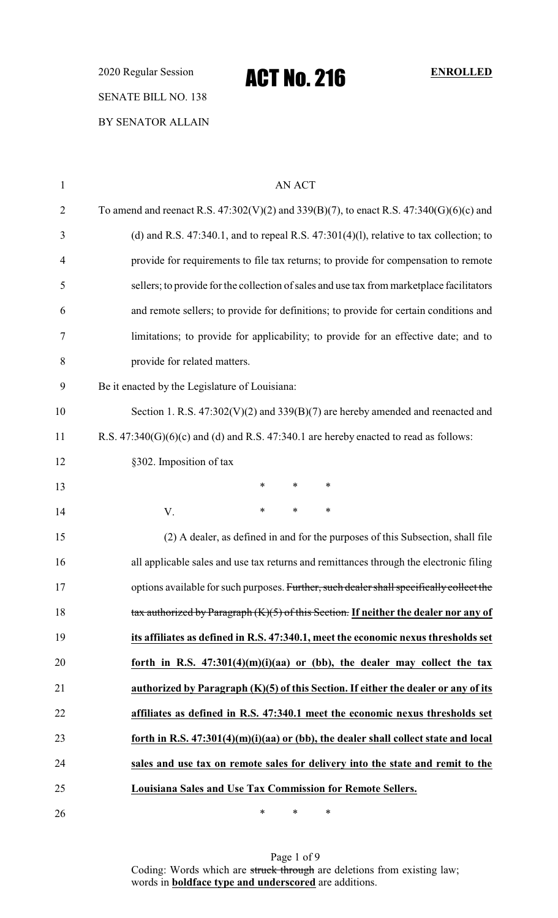2020 Regular Session **ACT No. 216** ENROLLED SENATE BILL NO. 138 BY SENATOR ALLAIN

1 AN ACT 2 To amend and reenact R.S.  $47:302(V)(2)$  and  $339(B)(7)$ , to enact R.S.  $47:340(G)(6)(c)$  and (d) and R.S. 47:340.1, and to repeal R.S. 47:301(4)(l), relative to tax collection; to provide for requirements to file tax returns; to provide for compensation to remote sellers; to provide for the collection of sales and use tax from marketplace facilitators and remote sellers; to provide for definitions; to provide for certain conditions and limitations; to provide for applicability; to provide for an effective date; and to provide for related matters. Be it enacted by the Legislature of Louisiana: 10 Section 1. R.S.  $47:302(V)(2)$  and  $339(B)(7)$  are hereby amended and reenacted and R.S. 47:340(G)(6)(c) and (d) and R.S. 47:340.1 are hereby enacted to read as follows: 12 §302. Imposition of tax **\*** \* \* \* 14 V. \* \* \* (2) A dealer, as defined in and for the purposes of this Subsection, shall file all applicable sales and use tax returns and remittances through the electronic filing 17 options available for such purposes. Further, such dealer shall specifically collect the tax authorized by Paragraph (K)(5) of this Section. **If neither the dealer nor any of its affiliates as defined in R.S. 47:340.1, meet the economic nexus thresholds set forth in R.S. 47:301(4)(m)(i)(aa) or (bb), the dealer may collect the tax authorized by Paragraph (K)(5) of this Section. If either the dealer or any of its affiliates as defined in R.S. 47:340.1 meet the economic nexus thresholds set forth in R.S. 47:301(4)(m)(i)(aa) or (bb), the dealer shall collect state and local sales and use tax on remote sales for delivery into the state and remit to the Louisiana Sales and Use Tax Commission for Remote Sellers.**

> Page 1 of 9 Coding: Words which are struck through are deletions from existing law; words in **boldface type and underscored** are additions.

 $*$  \* \* \*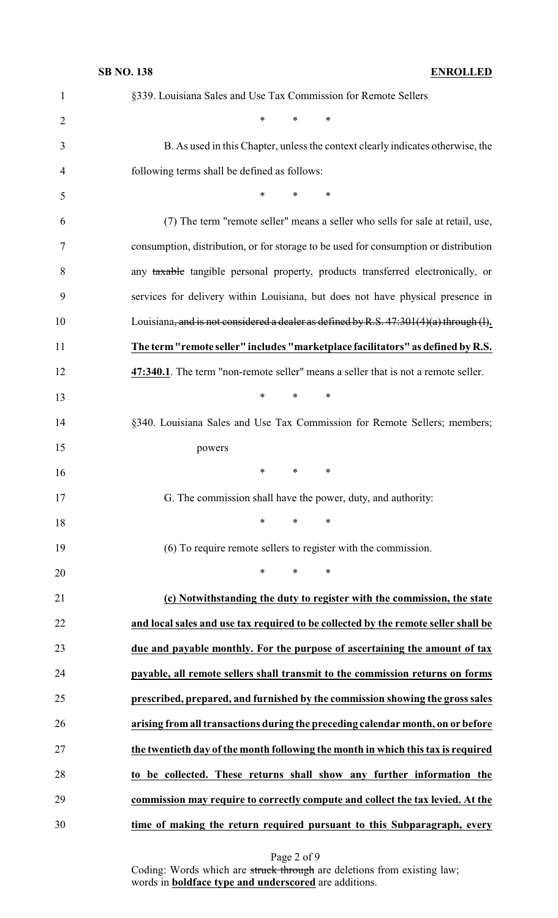| $\mathbf{1}$   | §339. Louisiana Sales and Use Tax Commission for Remote Sellers                          |
|----------------|------------------------------------------------------------------------------------------|
| $\overline{2}$ | $\ast$<br>$\ast$<br>*                                                                    |
| 3              | B. As used in this Chapter, unless the context clearly indicates otherwise, the          |
| 4              | following terms shall be defined as follows:                                             |
| 5              | *<br>∗<br>*                                                                              |
| 6              | (7) The term "remote seller" means a seller who sells for sale at retail, use,           |
| 7              | consumption, distribution, or for storage to be used for consumption or distribution     |
| 8              | any taxable tangible personal property, products transferred electronically, or          |
| 9              | services for delivery within Louisiana, but does not have physical presence in           |
| 10             | Louisiana, and is not considered a dealer as defined by R.S. $47:301(4)(a)$ through (1). |
| 11             | The term "remote seller" includes "marketplace facilitators" as defined by R.S.          |
| 12             | 47:340.1. The term "non-remote seller" means a seller that is not a remote seller.       |
| 13             | $\ast$<br>*<br>∗                                                                         |
| 14             | §340. Louisiana Sales and Use Tax Commission for Remote Sellers; members;                |
| 15             | powers                                                                                   |
| 16             | ∗<br>∗<br>∗                                                                              |
|                | G. The commission shall have the power, duty, and authority:                             |
| 18             | ∗<br>∗<br>∗                                                                              |
| 19             | (6) To require remote sellers to register with the commission.                           |
| 20             | *<br>$\ast$<br>∗                                                                         |
| 21             | (c) Notwithstanding the duty to register with the commission, the state                  |
| 22             | and local sales and use tax required to be collected by the remote seller shall be       |
| 23             | due and payable monthly. For the purpose of ascertaining the amount of tax               |
| 24             | payable, all remote sellers shall transmit to the commission returns on forms            |
| 25             | prescribed, prepared, and furnished by the commission showing the gross sales            |
| 26             | arising from all transactions during the preceding calendar month, on or before          |
| 27             | the twentieth day of the month following the month in which this tax is required         |
| 28             | to be collected. These returns shall show any further information the                    |
| 29             | commission may require to correctly compute and collect the tax levied. At the           |
| 30             | time of making the return required pursuant to this Subparagraph, every                  |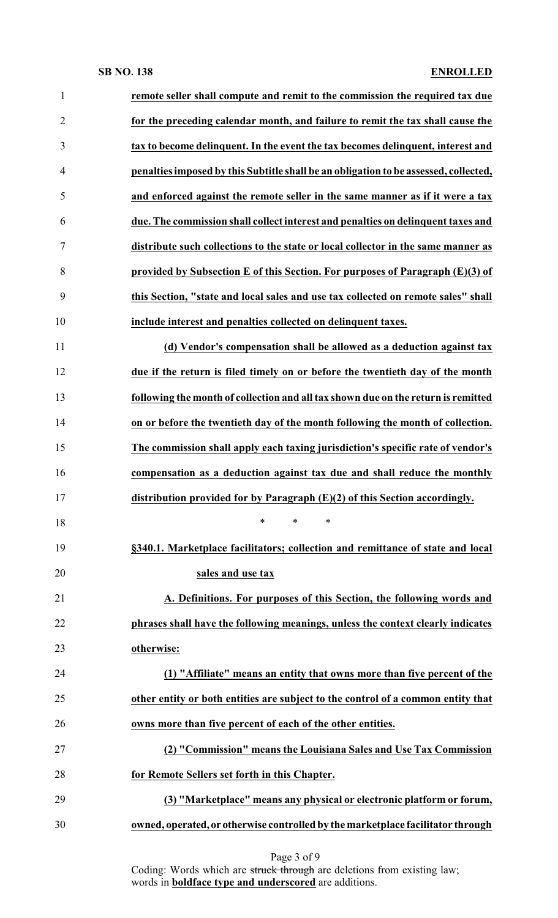| $\mathbf{1}$   | remote seller shall compute and remit to the commission the required tax due         |
|----------------|--------------------------------------------------------------------------------------|
| $\overline{2}$ | for the preceding calendar month, and failure to remit the tax shall cause the       |
| 3              | tax to become delinquent. In the event the tax becomes delinquent, interest and      |
| $\overline{4}$ | penalties imposed by this Subtitle shall be an obligation to be assessed, collected, |
| 5              | and enforced against the remote seller in the same manner as if it were a tax        |
| 6              | due. The commission shall collect interest and penalties on delinquent taxes and     |
| $\tau$         | distribute such collections to the state or local collector in the same manner as    |
| 8              | provided by Subsection E of this Section. For purposes of Paragraph $(E)(3)$ of      |
| 9              | this Section, "state and local sales and use tax collected on remote sales" shall    |
| 10             | include interest and penalties collected on delinquent taxes.                        |
| 11             | (d) Vendor's compensation shall be allowed as a deduction against tax                |
| 12             | due if the return is filed timely on or before the twentieth day of the month        |
| 13             | following the month of collection and all tax shown due on the return is remitted    |
| 14             | on or before the twentieth day of the month following the month of collection.       |
| 15             | The commission shall apply each taxing jurisdiction's specific rate of vendor's      |
| 16             | compensation as a deduction against tax due and shall reduce the monthly             |
| 17             | distribution provided for by Paragraph $(E)(2)$ of this Section accordingly.         |
| 18             | $\ast$<br>$\ast$<br>$\ast$                                                           |
| 19             | §340.1. Marketplace facilitators; collection and remittance of state and local       |
| 20             | sales and use tax                                                                    |
| 21             | A. Definitions. For purposes of this Section, the following words and                |
| 22             | phrases shall have the following meanings, unless the context clearly indicates      |
| 23             | otherwise:                                                                           |
| 24             | (1) "Affiliate" means an entity that owns more than five percent of the              |
| 25             | other entity or both entities are subject to the control of a common entity that     |
| 26             | owns more than five percent of each of the other entities.                           |
| 27             | (2) "Commission" means the Louisiana Sales and Use Tax Commission                    |
| 28             | for Remote Sellers set forth in this Chapter.                                        |
| 29             | (3) "Marketplace" means any physical or electronic platform or forum,                |
| 30             | owned, operated, or otherwise controlled by the marketplace facilitator through      |
|                |                                                                                      |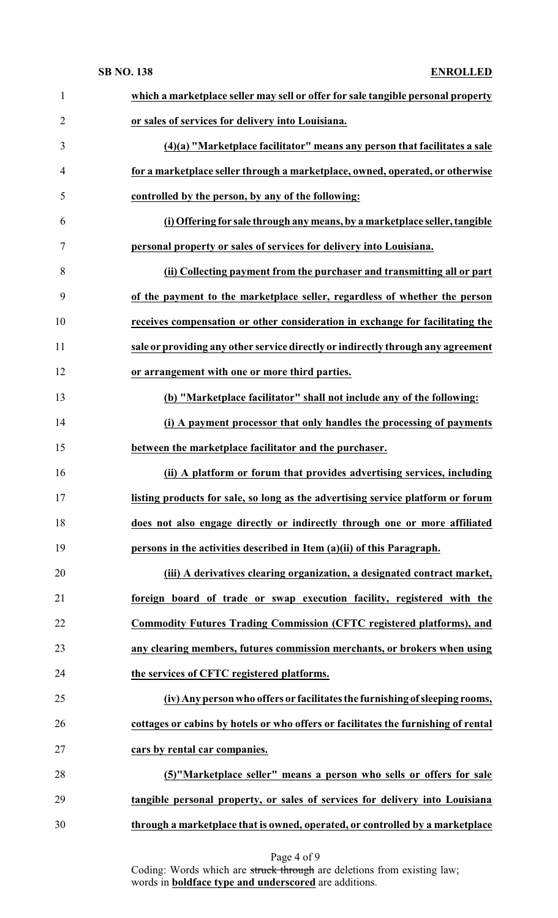| $\mathbf{1}$   | which a marketplace seller may sell or offer for sale tangible personal property   |
|----------------|------------------------------------------------------------------------------------|
| $\overline{2}$ | or sales of services for delivery into Louisiana.                                  |
| 3              | (4)(a) "Marketplace facilitator" means any person that facilitates a sale          |
| $\overline{4}$ | for a marketplace seller through a marketplace, owned, operated, or otherwise      |
| 5              | controlled by the person, by any of the following:                                 |
| 6              | (i) Offering for sale through any means, by a marketplace seller, tangible         |
| 7              | personal property or sales of services for delivery into Louisiana.                |
| 8              | (ii) Collecting payment from the purchaser and transmitting all or part            |
| 9              | of the payment to the marketplace seller, regardless of whether the person         |
| 10             | receives compensation or other consideration in exchange for facilitating the      |
| 11             | sale or providing any other service directly or indirectly through any agreement   |
| 12             | or arrangement with one or more third parties.                                     |
| 13             | (b) "Marketplace facilitator" shall not include any of the following:              |
| 14             | (i) A payment processor that only handles the processing of payments               |
| 15             | between the marketplace facilitator and the purchaser.                             |
| 16             | (ii) A platform or forum that provides advertising services, including             |
| 17             | listing products for sale, so long as the advertising service platform or forum    |
| 18             | does not also engage directly or indirectly through one or more affiliated         |
| 19             | persons in the activities described in Item (a)(ii) of this Paragraph.             |
| 20             | (iii) A derivatives clearing organization, a designated contract market,           |
| 21             | foreign board of trade or swap execution facility, registered with the             |
| 22             | <b>Commodity Futures Trading Commission (CFTC registered platforms), and</b>       |
| 23             | any clearing members, futures commission merchants, or brokers when using          |
| 24             | the services of CFTC registered platforms.                                         |
| 25             | (iv) Any person who offers or facilitates the furnishing of sleeping rooms,        |
| 26             | cottages or cabins by hotels or who offers or facilitates the furnishing of rental |
| 27             | cars by rental car companies.                                                      |
| 28             | (5)"Marketplace seller" means a person who sells or offers for sale                |
| 29             | tangible personal property, or sales of services for delivery into Louisiana       |
| 30             | through a marketplace that is owned, operated, or controlled by a marketplace      |

Page 4 of 9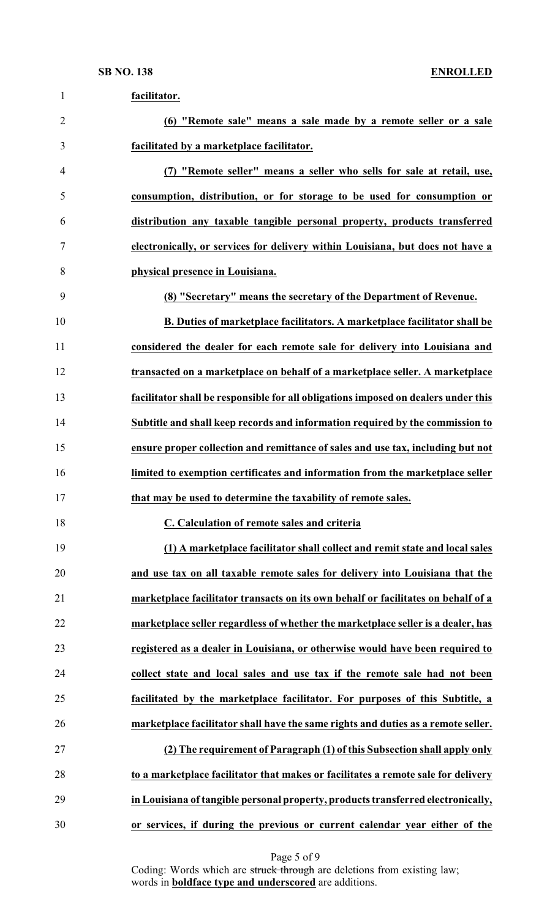| $\mathbf{1}$   | facilitator.                                                                       |
|----------------|------------------------------------------------------------------------------------|
| $\overline{2}$ | (6) "Remote sale" means a sale made by a remote seller or a sale                   |
| 3              | facilitated by a marketplace facilitator.                                          |
| 4              | (7) "Remote seller" means a seller who sells for sale at retail, use,              |
| 5              | consumption, distribution, or for storage to be used for consumption or            |
| 6              | distribution any taxable tangible personal property, products transferred          |
| 7              | electronically, or services for delivery within Louisiana, but does not have a     |
| 8              | physical presence in Louisiana.                                                    |
| 9              | (8) "Secretary" means the secretary of the Department of Revenue.                  |
| 10             | B. Duties of marketplace facilitators. A marketplace facilitator shall be          |
| 11             | considered the dealer for each remote sale for delivery into Louisiana and         |
| 12             | transacted on a marketplace on behalf of a marketplace seller. A marketplace       |
| 13             | facilitator shall be responsible for all obligations imposed on dealers under this |
| 14             | Subtitle and shall keep records and information required by the commission to      |
| 15             | ensure proper collection and remittance of sales and use tax, including but not    |
| 16             | limited to exemption certificates and information from the marketplace seller      |
| 17             | that may be used to determine the taxability of remote sales.                      |
| 18             | C. Calculation of remote sales and criteria                                        |
| 19             | (1) A marketplace facilitator shall collect and remit state and local sales        |
| 20             | and use tax on all taxable remote sales for delivery into Louisiana that the       |
| 21             | marketplace facilitator transacts on its own behalf or facilitates on behalf of a  |
| 22             | marketplace seller regardless of whether the marketplace seller is a dealer, has   |
| 23             | registered as a dealer in Louisiana, or otherwise would have been required to      |
| 24             | collect state and local sales and use tax if the remote sale had not been          |
| 25             | facilitated by the marketplace facilitator. For purposes of this Subtitle, a       |
| 26             | marketplace facilitator shall have the same rights and duties as a remote seller.  |
| 27             | (2) The requirement of Paragraph (1) of this Subsection shall apply only           |
| 28             | to a marketplace facilitator that makes or facilitates a remote sale for delivery  |
| 29             | in Louisiana of tangible personal property, products transferred electronically,   |
| 30             | or services, if during the previous or current calendar year either of the         |

Page 5 of 9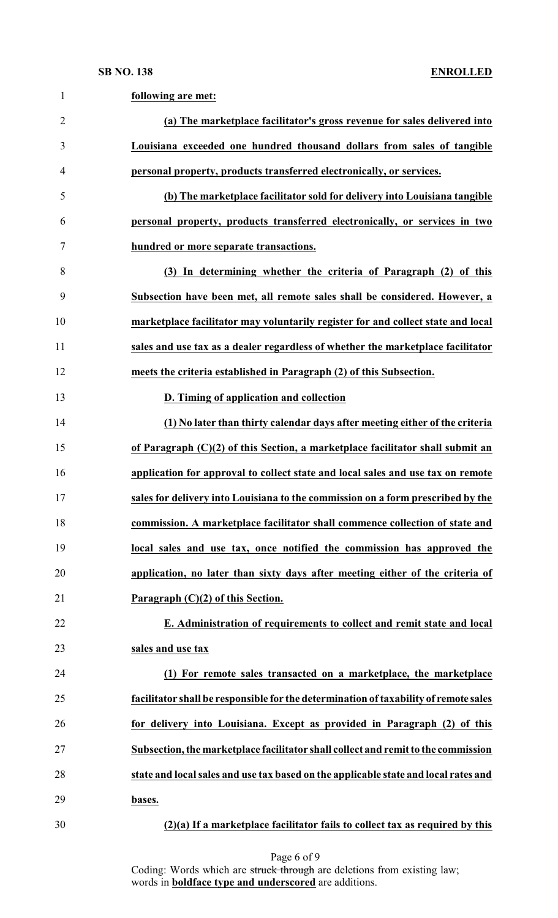| $\mathbf{1}$   | following are met:                                                                   |
|----------------|--------------------------------------------------------------------------------------|
| $\overline{2}$ | (a) The marketplace facilitator's gross revenue for sales delivered into             |
| 3              | Louisiana exceeded one hundred thousand dollars from sales of tangible               |
| $\overline{4}$ | personal property, products transferred electronically, or services.                 |
| 5              | (b) The marketplace facilitator sold for delivery into Louisiana tangible            |
| 6              | personal property, products transferred electronically, or services in two           |
| $\tau$         | hundred or more separate transactions.                                               |
| 8              | (3) In determining whether the criteria of Paragraph (2) of this                     |
| 9              | Subsection have been met, all remote sales shall be considered. However, a           |
| 10             | marketplace facilitator may voluntarily register for and collect state and local     |
| 11             | sales and use tax as a dealer regardless of whether the marketplace facilitator      |
| 12             | meets the criteria established in Paragraph (2) of this Subsection.                  |
| 13             | D. Timing of application and collection                                              |
| 14             | (1) No later than thirty calendar days after meeting either of the criteria          |
| 15             | of Paragraph (C)(2) of this Section, a marketplace facilitator shall submit an       |
| 16             | application for approval to collect state and local sales and use tax on remote      |
| 17             | sales for delivery into Louisiana to the commission on a form prescribed by the      |
| 18             | commission. A marketplace facilitator shall commence collection of state and         |
| 19             | local sales and use tax, once notified the commission has approved the               |
| 20             | application, no later than sixty days after meeting either of the criteria of        |
| 21             | Paragraph $(C)(2)$ of this Section.                                                  |
| 22             | E. Administration of requirements to collect and remit state and local               |
| 23             | sales and use tax                                                                    |
| 24             | (1) For remote sales transacted on a marketplace, the marketplace                    |
| 25             | facilitator shall be responsible for the determination of taxability of remote sales |
| 26             | for delivery into Louisiana. Except as provided in Paragraph (2) of this             |
| 27             | Subsection, the marketplace facilitator shall collect and remit to the commission    |
| 28             | state and local sales and use tax based on the applicable state and local rates and  |
| 29             | bases.                                                                               |
| 30             | $(2)(a)$ If a marketplace facilitator fails to collect tax as required by this       |

Page 6 of 9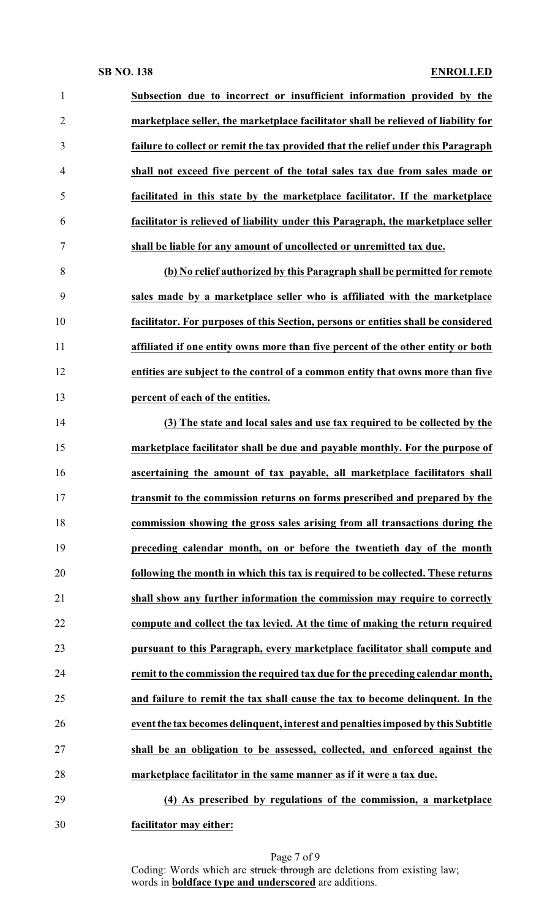| $\mathbf{1}$   | Subsection due to incorrect or insufficient information provided by the            |
|----------------|------------------------------------------------------------------------------------|
| $\overline{2}$ | marketplace seller, the marketplace facilitator shall be relieved of liability for |
| 3              | failure to collect or remit the tax provided that the relief under this Paragraph  |
| $\overline{4}$ | shall not exceed five percent of the total sales tax due from sales made or        |
| 5              | facilitated in this state by the marketplace facilitator. If the marketplace       |
| 6              | facilitator is relieved of liability under this Paragraph, the marketplace seller  |
| $\tau$         | shall be liable for any amount of uncollected or unremitted tax due.               |
| 8              | (b) No relief authorized by this Paragraph shall be permitted for remote           |
| 9              | sales made by a marketplace seller who is affiliated with the marketplace          |
| 10             | facilitator. For purposes of this Section, persons or entities shall be considered |
| 11             | affiliated if one entity owns more than five percent of the other entity or both   |
| 12             | entities are subject to the control of a common entity that owns more than five    |
| 13             | percent of each of the entities.                                                   |
| 14             | (3) The state and local sales and use tax required to be collected by the          |
| 15             | marketplace facilitator shall be due and payable monthly. For the purpose of       |
| 16             | ascertaining the amount of tax payable, all marketplace facilitators shall         |
| 17             | transmit to the commission returns on forms prescribed and prepared by the         |
| 18             | commission showing the gross sales arising from all transactions during the        |
| 19             | preceding calendar month, on or before the twentieth day of the month              |
| 20             | following the month in which this tax is required to be collected. These returns   |
| 21             | shall show any further information the commission may require to correctly         |
| 22             | compute and collect the tax levied. At the time of making the return required      |
| 23             | pursuant to this Paragraph, every marketplace facilitator shall compute and        |
| 24             | remit to the commission the required tax due for the preceding calendar month,     |
| 25             | and failure to remit the tax shall cause the tax to become delinquent. In the      |
| 26             | event the tax becomes delinquent, interest and penalties imposed by this Subtitle  |
| 27             | shall be an obligation to be assessed, collected, and enforced against the         |
| 28             | marketplace facilitator in the same manner as if it were a tax due.                |
| 29             | (4) As prescribed by regulations of the commission, a marketplace                  |
| 30             | facilitator may either:                                                            |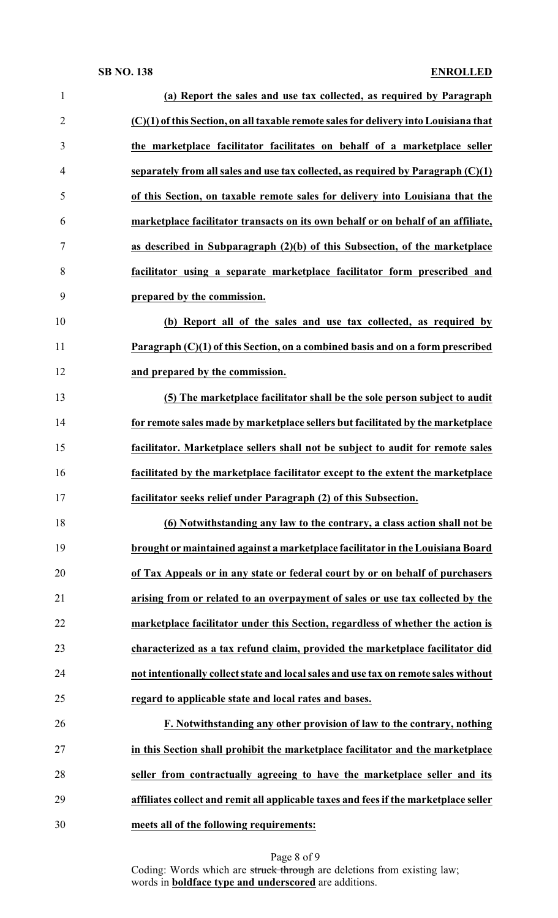| $\mathbf{1}$   | (a) Report the sales and use tax collected, as required by Paragraph                 |
|----------------|--------------------------------------------------------------------------------------|
| $\overline{2}$ | (C)(1) of this Section, on all taxable remote sales for delivery into Louisiana that |
| 3              | the marketplace facilitator facilitates on behalf of a marketplace seller            |
| 4              | separately from all sales and use tax collected, as required by Paragraph (C)(1)     |
| 5              | of this Section, on taxable remote sales for delivery into Louisiana that the        |
| 6              | marketplace facilitator transacts on its own behalf or on behalf of an affiliate,    |
| 7              | as described in Subparagraph (2)(b) of this Subsection, of the marketplace           |
| 8              | facilitator using a separate marketplace facilitator form prescribed and             |
| 9              | prepared by the commission.                                                          |
| 10             | (b) Report all of the sales and use tax collected, as required by                    |
| 11             | Paragraph $(C)(1)$ of this Section, on a combined basis and on a form prescribed     |
| 12             | and prepared by the commission.                                                      |
| 13             | (5) The marketplace facilitator shall be the sole person subject to audit            |
| 14             | for remote sales made by marketplace sellers but facilitated by the marketplace      |
| 15             | facilitator. Marketplace sellers shall not be subject to audit for remote sales      |
| 16             | facilitated by the marketplace facilitator except to the extent the marketplace      |
| 17             | facilitator seeks relief under Paragraph (2) of this Subsection.                     |
| 18             | (6) Notwithstanding any law to the contrary, a class action shall not be             |
| 19             | brought or maintained against a marketplace facilitator in the Louisiana Board       |
| 20             | of Tax Appeals or in any state or federal court by or on behalf of purchasers        |
| 21             | arising from or related to an overpayment of sales or use tax collected by the       |
| 22             | marketplace facilitator under this Section, regardless of whether the action is      |
| 23             | characterized as a tax refund claim, provided the marketplace facilitator did        |
| 24             | not intentionally collect state and local sales and use tax on remote sales without  |
| 25             | regard to applicable state and local rates and bases.                                |
| 26             | F. Notwithstanding any other provision of law to the contrary, nothing               |
| 27             | in this Section shall prohibit the marketplace facilitator and the marketplace       |
| 28             | seller from contractually agreeing to have the marketplace seller and its            |
| 29             | affiliates collect and remit all applicable taxes and fees if the marketplace seller |
| 30             | meets all of the following requirements:                                             |